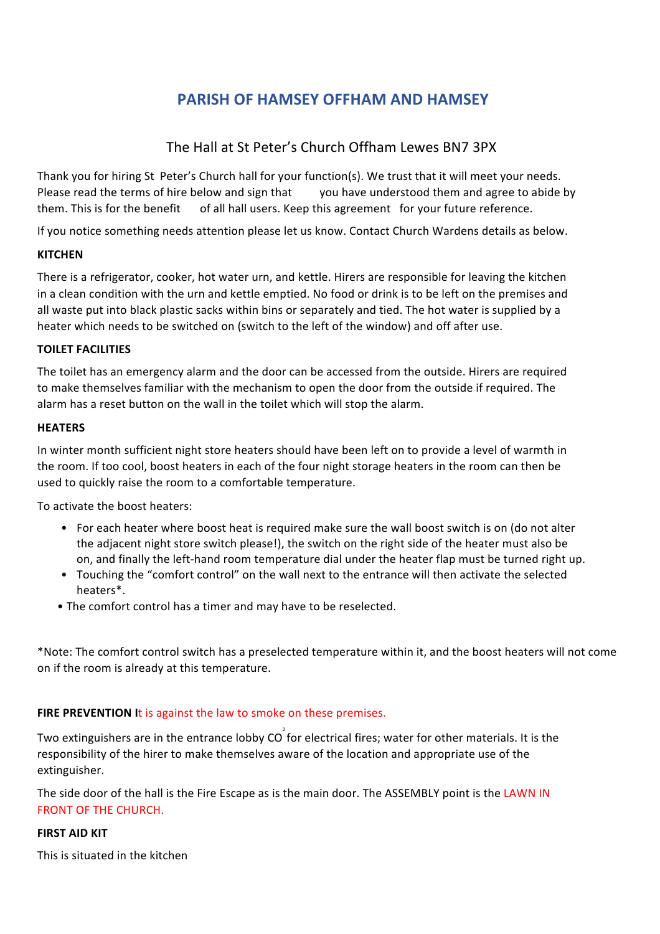## **PARISH OF HAMSEY OFFHAM AND HAMSEY**

### The Hall at St Peter's Church Offham Lewes BN7 3PX

Thank you for hiring St Peter's Church hall for your function(s). We trust that it will meet your needs. Please read the terms of hire below and sign that you have understood them and agree to abide by them. This is for the benefit of all hall users. Keep this agreement for your future reference.

If you notice something needs attention please let us know. Contact Church Wardens details as below.

#### **KITCHEN**

There is a refrigerator, cooker, hot water urn, and kettle. Hirers are responsible for leaving the kitchen in a clean condition with the urn and kettle emptied. No food or drink is to be left on the premises and all waste put into black plastic sacks within bins or separately and tied. The hot water is supplied by a heater which needs to be switched on (switch to the left of the window) and off after use.

#### **TOILET FACILITIES**

The toilet has an emergency alarm and the door can be accessed from the outside. Hirers are required to make themselves familiar with the mechanism to open the door from the outside if required. The alarm has a reset button on the wall in the toilet which will stop the alarm.

#### **HEATERS**

In winter month sufficient night store heaters should have been left on to provide a level of warmth in the room. If too cool, boost heaters in each of the four night storage heaters in the room can then be used to quickly raise the room to a comfortable temperature.

To activate the boost heaters:

- For each heater where boost heat is required make sure the wall boost switch is on (do not alter the adjacent night store switch please!), the switch on the right side of the heater must also be on, and finally the left-hand room temperature dial under the heater flap must be turned right up.
- Touching the "comfort control" on the wall next to the entrance will then activate the selected heaters\*.
- The comfort control has a timer and may have to be reselected.

\*Note: The comfort control switch has a preselected temperature within it, and the boost heaters will not come on if the room is already at this temperature.

#### **FIRE PREVENTION It is against the law to smoke on these premises.**

Two extinguishers are in the entrance lobby CO $^{2}$ for electrical fires; water for other materials. It is the responsibility of the hirer to make themselves aware of the location and appropriate use of the extinguisher. 

The side door of the hall is the Fire Escape as is the main door. The ASSEMBLY point is the LAWN IN FRONT OF THE CHURCH.

#### **FIRST AID KIT**

This is situated in the kitchen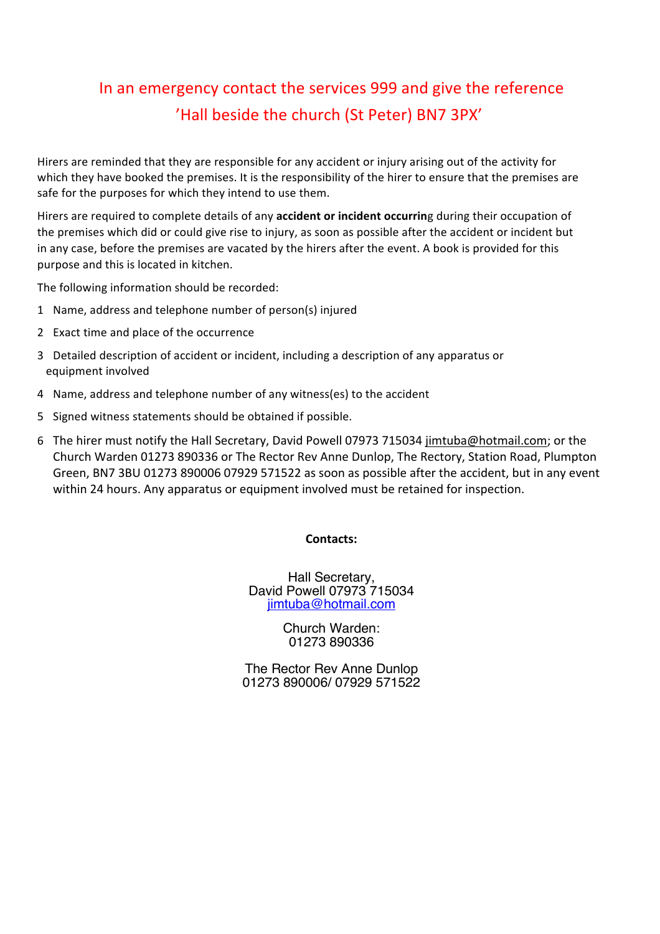# In an emergency contact the services 999 and give the reference 'Hall beside the church (St Peter) BN7 3PX'

Hirers are reminded that they are responsible for any accident or injury arising out of the activity for which they have booked the premises. It is the responsibility of the hirer to ensure that the premises are safe for the purposes for which they intend to use them.

Hirers are required to complete details of any accident or incident occurring during their occupation of the premises which did or could give rise to injury, as soon as possible after the accident or incident but in any case, before the premises are vacated by the hirers after the event. A book is provided for this purpose and this is located in kitchen.

The following information should be recorded:

- 1 Name, address and telephone number of person(s) injured
- 2 Exact time and place of the occurrence
- 3 Detailed description of accident or incident, including a description of any apparatus or equipment involved
- 4 Name, address and telephone number of any witness(es) to the accident
- 5 Signed witness statements should be obtained if possible.
- 6 The hirer must notify the Hall Secretary, David Powell 07973 715034 jimtuba@hotmail.com; or the Church Warden 01273 890336 or The Rector Rev Anne Dunlop, The Rectory, Station Road, Plumpton Green, BN7 3BU 01273 890006 07929 571522 as soon as possible after the accident, but in any event within 24 hours. Any apparatus or equipment involved must be retained for inspection.

#### **Contacts:**

Hall Secretary, David Powell 07973 715034 jimtuba@hotmail.com

> Church Warden: 01273 890336

The Rector Rev Anne Dunlop 01273 890006/ 07929 571522